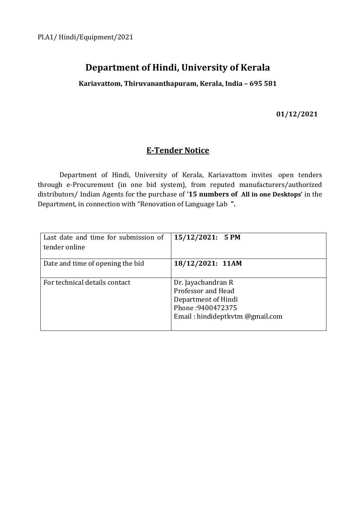# **Department of Hindi, University of Kerala**

**Kariavattom, Thiruvananthapuram, Kerala, India – 695 581**

**01/12/2021**

## **E-Tender Notice**

Department of Hindi, University of Kerala, Kariavattom invites open tenders through e-Procurement (in one bid system), from reputed manufacturers/authorized distributors/ Indian Agents for the purchase of '**15 numbers of All in one Desktops'** in the Department, in connection with "Renovation of Language Lab **".**

| Last date and time for submission of<br>tender online | 15/12/2021: 5 PM                                                                                                        |
|-------------------------------------------------------|-------------------------------------------------------------------------------------------------------------------------|
| Date and time of opening the bid                      | 18/12/2021: 11AM                                                                                                        |
| For technical details contact                         | Dr. Jayachandran R<br>Professor and Head<br>Department of Hindi<br>Phone: 9400472375<br>Email: hindideptkvtm @gmail.com |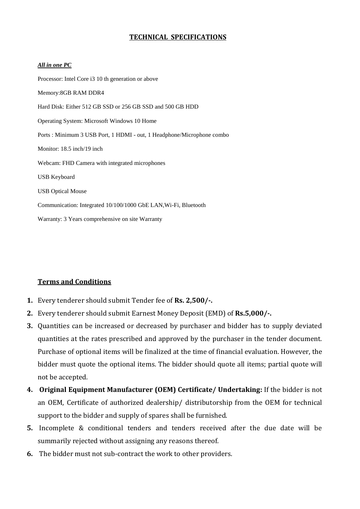## **TECHNICAL SPECIFICATIONS**

#### *All in one PC*

Processor: Intel Core i3 10 th generation or above Memory:8GB RAM DDR4 Hard Disk: Either 512 GB SSD or 256 GB SSD and 500 GB HDD Operating System: Microsoft Windows 10 Home Ports : Minimum 3 USB Port, 1 HDMI - out, 1 Headphone/Microphone combo Monitor: 18.5 inch/19 inch Webcam: FHD Camera with integrated microphones USB Keyboard USB Optical Mouse Communication: Integrated 10/100/1000 GbE LAN,Wi-Fi, Bluetooth Warranty: 3 Years comprehensive on site Warranty

## **Terms and Conditions**

- **1.** Every tenderer should submit Tender fee of **Rs. 2,500/-.**
- **2.** Every tenderer should submit Earnest Money Deposit (EMD) of **Rs.5,000/-.**
- **3.** Quantities can be increased or decreased by purchaser and bidder has to supply deviated quantities at the rates prescribed and approved by the purchaser in the tender document. Purchase of optional items will be finalized at the time of financial evaluation. However, the bidder must quote the optional items. The bidder should quote all items; partial quote will not be accepted.
- **4. Original Equipment Manufacturer (OEM) Certificate/ Undertaking:** If the bidder is not an OEM, Certificate of authorized dealership/ distributorship from the OEM for technical support to the bidder and supply of spares shall be furnished.
- **5.** Incomplete & conditional tenders and tenders received after the due date will be summarily rejected without assigning any reasons thereof.
- **6.** The bidder must not sub-contract the work to other providers.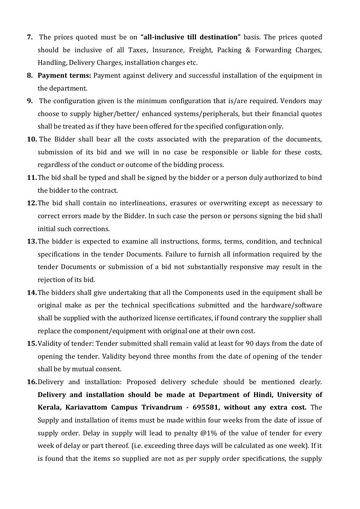- **7.** The prices quoted must be on **"all-inclusive till destination"** basis. The prices quoted should be inclusive of all Taxes, Insurance, Freight, Packing & Forwarding Charges, Handling, Delivery Charges, installation charges etc.
- **8. Payment terms:** Payment against delivery and successful installation of the equipment in the department.
- **9.** The configuration given is the minimum configuration that is/are required. Vendors may choose to supply higher/better/ enhanced systems/peripherals, but their financial quotes shall be treated as if they have been offered for the specified configuration only.
- **10.** The Bidder shall bear all the costs associated with the preparation of the documents, submission of its bid and we will in no case be responsible or liable for these costs, regardless of the conduct or outcome of the bidding process.
- **11.**The bid shall be typed and shall be signed by the bidder or a person duly authorized to bind the bidder to the contract.
- **12.**The bid shall contain no interlineations, erasures or overwriting except as necessary to correct errors made by the Bidder. In such case the person or persons signing the bid shall initial such corrections.
- **13.**The bidder is expected to examine all instructions, forms, terms, condition, and technical specifications in the tender Documents. Failure to furnish all information required by the tender Documents or submission of a bid not substantially responsive may result in the rejection of its bid.
- **14.**The bidders shall give undertaking that all the Components used in the equipment shall be original make as per the technical specifications submitted and the hardware/software shall be supplied with the authorized license certificates, if found contrary the supplier shall replace the component/equipment with original one at their own cost.
- **15.**Validity of tender: Tender submitted shall remain valid at least for 90 days from the date of opening the tender. Validity beyond three months from the date of opening of the tender shall be by mutual consent.
- **16.**Delivery and installation: Proposed delivery schedule should be mentioned clearly. **Delivery and installation should be made at Department of Hindi, University of Kerala, Kariavattom Campus Trivandrum - 695581, without any extra cost.** The Supply and installation of items must be made within four weeks from the date of issue of supply order. Delay in supply will lead to penalty @1% of the value of tender for every week of delay or part thereof. (i.e. exceeding three days will be calculated as one week). If it is found that the items so supplied are not as per supply order specifications, the supply